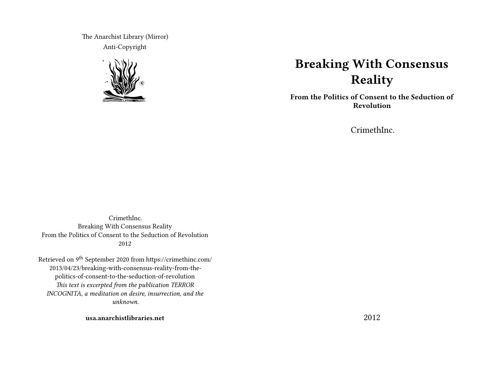The Anarchist Library (Mirror) Anti-Copyright



# **Breaking With Consensus Reality**

**From the Politics of Consent to the Seduction of Revolution**

CrimethInc.

CrimethInc. Breaking With Consensus Reality From the Politics of Consent to the Seduction of Revolution 2012

Retrieved on 9th September 2020 from https://crimethinc.com/ 2013/04/23/breaking-with-consensus-reality-from-thepolitics-of-consent-to-the-seduction-of-revolution *This text is excerpted from the publication TERROR INCOGNITA, a meditation on desire, insurrection, and the unknown.*

**usa.anarchistlibraries.net**

2012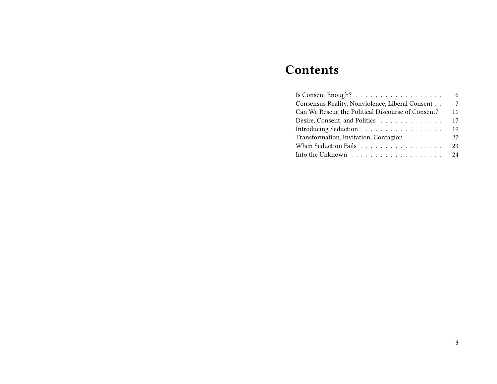# **Contents**

|                                                                        | 6              |
|------------------------------------------------------------------------|----------------|
| Consensus Reality, Nonviolence, Liberal Consent                        | $\overline{7}$ |
| Can We Rescue the Political Discourse of Consent?                      | 11             |
| Desire, Consent, and Politics                                          | 17             |
| Introducing Seduction                                                  | 19             |
| Transformation, Invitation, Contagion                                  | 22             |
| When Seduction Fails                                                   | 23             |
| Into the Unknown $\ldots \ldots \ldots \ldots \ldots \ldots \ldots$ 24 |                |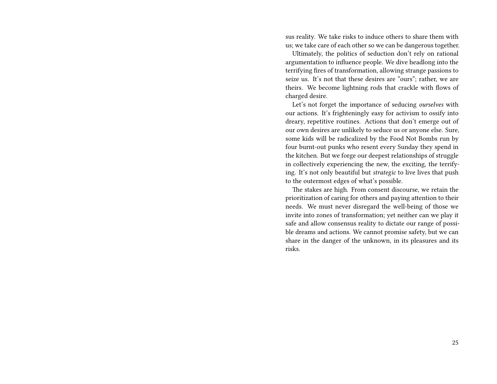sus reality. We take risks to induce others to share them with us; we take care of each other so we can be dangerous together.

Ultimately, the politics of seduction don't rely on rational argumentation to influence people. We dive headlong into the terrifying fires of transformation, allowing strange passions to seize us. It's not that these desires are "ours"; rather, we are theirs. We become lightning rods that crackle with flows of charged desire.

Let's not forget the importance of seducing *ourselves* with our actions. It's frighteningly easy for activism to ossify into dreary, repetitive routines. Actions that don't emerge out of our own desires are unlikely to seduce us or anyone else. Sure, some kids will be radicalized by the Food Not Bombs run by four burnt-out punks who resent every Sunday they spend in the kitchen. But we forge our deepest relationships of struggle in collectively experiencing the new, the exciting, the terrifying. It's not only beautiful but *strategic* to live lives that push to the outermost edges of what's possible.

The stakes are high. From consent discourse, we retain the prioritization of caring for others and paying attention to their needs. We must never disregard the well-being of those we invite into zones of transformation; yet neither can we play it safe and allow consensus reality to dictate our range of possible dreams and actions. We cannot promise safety, but we can share in the danger of the unknown, in its pleasures and its risks.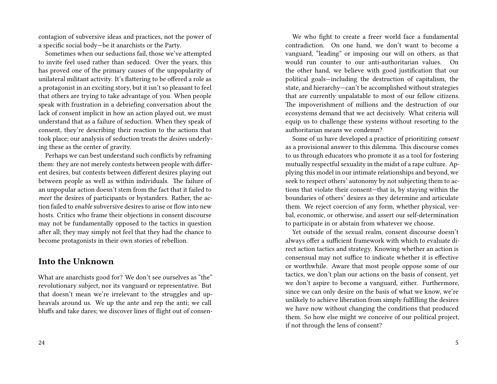contagion of subversive ideas and practices, not the power of a specific social body—be it anarchists or the Party.

Sometimes when our seductions fail, those we've attempted to invite feel used rather than seduced. Over the years, this has proved one of the primary causes of the unpopularity of unilateral militant activity. It's flattering to be offered a role as a protagonist in an exciting story, but it isn't so pleasant to feel that others are trying to take advantage of you. When people speak with frustration in a debriefing conversation about the lack of consent implicit in how an action played out, we must understand that as a failure of seduction. When they speak of consent, they're describing their reaction to the actions that took place; our analysis of seduction treats the *desires* underlying these as the center of gravity.

Perhaps we can best understand such conflicts by reframing them: they are not merely contests between people with different desires, but contests between different desires playing out between people as well as within individuals. The failure of an unpopular action doesn't stem from the fact that it failed to *meet* the desires of participants or bystanders. Rather, the action failed to *enable* subversive desires to arise or flow into new hosts. Critics who frame their objections in consent discourse may not be fundamentally opposed to the tactics in question after all; they may simply not feel that they had the chance to become protagonists in their own stories of rebellion.

### **Into the Unknown**

What are anarchists good for? We don't see ourselves as "the" revolutionary subject, nor its vanguard or representative. But that doesn't mean we're irrelevant to the struggles and upheavals around us. We up the ante and rep the anti; we call bluffs and take dares; we discover lines of flight out of consen-

We who fight to create a freer world face a fundamental contradiction. On one hand, we don't want to become a vanguard, "leading" or imposing our will on others, as that would run counter to our anti-authoritarian values. On the other hand, we believe with good justification that our political goals—including the destruction of capitalism, the state, and hierarchy—can't be accomplished without strategies that are currently unpalatable to most of our fellow citizens. The impoverishment of millions and the destruction of our ecosystems demand that we act decisively. What criteria will equip us to challenge these systems without resorting to the authoritarian means we condemn?

Some of us have developed a practice of prioritizing *consent* as a provisional answer to this dilemma. This discourse comes to us through educators who promote it as a tool for fostering mutually respectful sexuality in the midst of a rape culture. Applying this model in our intimate relationships and beyond, we seek to respect others' autonomy by not subjecting them to actions that violate their consent—that is, by staying within the boundaries of others' desires as they determine and articulate them. We reject coercion of any form, whether physical, verbal, economic, or otherwise, and assert our self-determination to participate in or abstain from whatever we choose.

Yet outside of the sexual realm, consent discourse doesn't always offer a sufficient framework with which to evaluate direct action tactics and strategy. Knowing whether an action is consensual may not suffice to indicate whether it is effective or worthwhile. Aware that most people oppose some of our tactics, we don't plan our actions on the basis of consent, yet we don't aspire to become a vanguard, either. Furthermore, since we can only desire on the basis of what we know, we're unlikely to achieve liberation from simply fulfilling the desires we have now without changing the conditions that produced them. So how else might we conceive of our political project, if not through the lens of consent?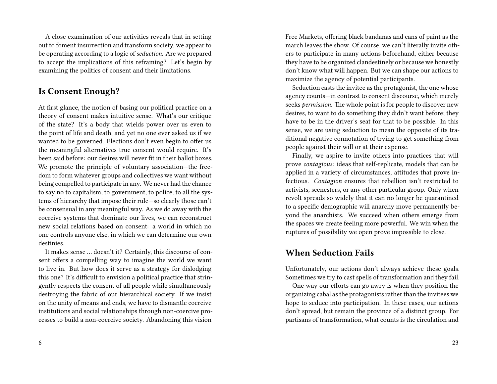A close examination of our activities reveals that in setting out to foment insurrection and transform society, we appear to be operating according to a logic of *seduction.* Are we prepared to accept the implications of this reframing? Let's begin by examining the politics of consent and their limitations.

## **Is Consent Enough?**

At first glance, the notion of basing our political practice on a theory of consent makes intuitive sense. What's our critique of the state? It's a body that wields power over us even to the point of life and death, and yet no one ever asked us if we wanted to be governed. Elections don't even begin to offer us the meaningful alternatives true consent would require. It's been said before: our desires will never fit in their ballot boxes. We promote the principle of voluntary association—the freedom to form whatever groups and collectives we want without being compelled to participate in any. We never had the chance to say no to capitalism, to government, to police, to all the systems of hierarchy that impose their rule—so clearly those can't be consensual in any meaningful way. As we do away with the coercive systems that dominate our lives, we can reconstruct new social relations based on consent: a world in which no one controls anyone else, in which we can determine our own destinies.

It makes sense … doesn't it? Certainly, this discourse of consent offers a compelling way to imagine the world we want to live in. But how does it serve as a strategy for dislodging this one? It's difficult to envision a political practice that stringently respects the consent of all people while simultaneously destroying the fabric of our hierarchical society. If we insist on the unity of means and ends, we have to dismantle coercive institutions and social relationships through non-coercive processes to build a non-coercive society. Abandoning this vision

Free Markets, offering black bandanas and cans of paint as the march leaves the show. Of course, we can't literally invite others to participate in many actions beforehand, either because they have to be organized clandestinely or because we honestly don't know what will happen. But we can shape our actions to maximize the agency of potential participants.

Seduction casts the invitee as the protagonist, the one whose agency counts—in contrast to consent discourse, which merely seeks *permission.* The whole point is for people to discover new desires, to want to do something they didn't want before; they have to be in the driver's seat for that to be possible. In this sense, we are using seduction to mean the opposite of its traditional negative connotation of trying to get something from people against their will or at their expense.

Finally, we aspire to invite others into practices that will prove *contagious*: ideas that self-replicate, models that can be applied in a variety of circumstances, attitudes that prove infectious. *Contagion* ensures that rebellion isn't restricted to activists, scenesters, or any other particular group. Only when revolt spreads so widely that it can no longer be quarantined to a specific demographic will anarchy move permanently beyond the anarchists. We succeed when others emerge from the spaces we create feeling more powerful. We win when the ruptures of possibility we open prove impossible to close.

### **When Seduction Fails**

Unfortunately, our actions don't always achieve these goals. Sometimes we try to cast spells of transformation and they fail.

One way our efforts can go awry is when they position the organizing cabal as the protagonists rather than the invitees we hope to seduce into participation. In these cases, our actions don't spread, but remain the province of a distinct group. For partisans of transformation, what counts is the circulation and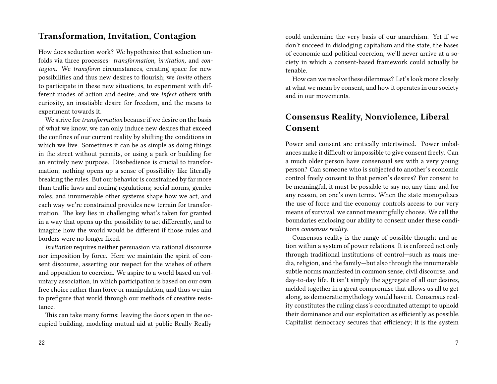### **Transformation, Invitation, Contagion**

How does seduction work? We hypothesize that seduction unfolds via three processes: *transformation, invitation,* and *contagion.* We *transform* circumstances, creating space for new possibilities and thus new desires to flourish; we *invite* others to participate in these new situations, to experiment with different modes of action and desire; and we *infect* others with curiosity, an insatiable desire for freedom, and the means to experiment towards it.

We strive for*transformation* because if we desire on the basis of what we know, we can only induce new desires that exceed the confines of our current reality by shifting the conditions in which we live. Sometimes it can be as simple as doing things in the street without permits, or using a park or building for an entirely new purpose. Disobedience is crucial to transformation; nothing opens up a sense of possibility like literally breaking the rules. But our behavior is constrained by far more than traffic laws and zoning regulations; social norms, gender roles, and innumerable other systems shape how we act, and each way we're constrained provides new terrain for transformation. The key lies in challenging what's taken for granted in a way that opens up the possibility to act differently, and to imagine how the world would be different if those rules and borders were no longer fixed.

*Invitation* requires neither persuasion via rational discourse nor imposition by force. Here we maintain the spirit of consent discourse, asserting our respect for the wishes of others and opposition to coercion. We aspire to a world based on voluntary association, in which participation is based on our own free choice rather than force or manipulation, and thus we aim to prefigure that world through our methods of creative resistance.

This can take many forms: leaving the doors open in the occupied building, modeling mutual aid at public Really Really

could undermine the very basis of our anarchism. Yet if we don't succeed in dislodging capitalism and the state, the bases of economic and political coercion, we'll never arrive at a society in which a consent-based framework could actually be tenable.

How can we resolve these dilemmas? Let's look more closely at what we mean by consent, and how it operates in our society and in our movements.

# **Consensus Reality, Nonviolence, Liberal Consent**

Power and consent are critically intertwined. Power imbalances make it difficult or impossible to give consent freely. Can a much older person have consensual sex with a very young person? Can someone who is subjected to another's economic control freely consent to that person's desires? For consent to be meaningful, it must be possible to say no, any time and for any reason, on one's own terms. When the state monopolizes the use of force and the economy controls access to our very means of survival, we cannot meaningfully choose. We call the boundaries enclosing our ability to consent under these conditions *consensus reality.*

Consensus reality is the range of possible thought and action within a system of power relations. It is enforced not only through traditional institutions of control—such as mass media, religion, and the family—but also through the innumerable subtle norms manifested in common sense, civil discourse, and day-to-day life. It isn't simply the aggregate of all our desires, melded together in a great compromise that allows us all to get along, as democratic mythology would have it. Consensus reality constitutes the ruling class's coordinated attempt to uphold their dominance and our exploitation as efficiently as possible. Capitalist democracy secures that efficiency; it is the system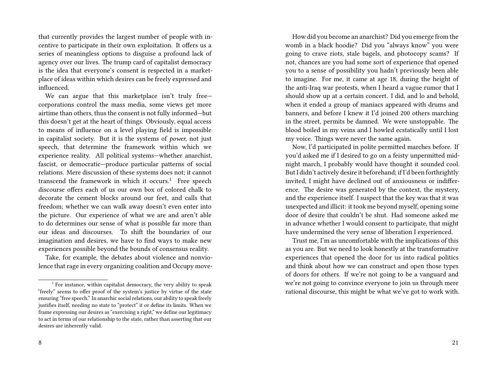that currently provides the largest number of people with incentive to participate in their own exploitation. It offers us a series of meaningless options to disguise a profound lack of agency over our lives. The trump card of capitalist democracy is the idea that everyone's consent is respected in a marketplace of ideas within which desires can be freely expressed and influenced.

We can argue that this marketplace isn't truly free corporations control the mass media, some views get more airtime than others, thus the consent is not fully informed—but this doesn't get at the heart of things. Obviously, equal access to means of influence on a level playing field is impossible in capitalist society. But it is the systems of *power,* not just speech, that determine the framework within which we experience reality. All political systems—whether anarchist, fascist, or democratic—produce particular patterns of social relations. Mere discussion of these systems does not; it cannot transcend the framework in which it occurs.<sup>1</sup> Free speech discourse offers each of us our own box of colored chalk to decorate the cement blocks around our feet, and calls that freedom; whether we can walk away doesn't even enter into the picture. Our experience of what we are and aren't able to do determines our sense of what is possible far more than our ideas and discourses. To shift the boundaries of our imagination and desires, we have to find ways to make new experiences possible beyond the bounds of consensus reality.

Take, for example, the debates about violence and nonviolence that rage in every organizing coalition and Occupy move-

How did you become an anarchist? Did you emerge from the womb in a black hoodie? Did you "always know" you were going to crave riots, stale bagels, and photocopy scams? If not, chances are you had some sort of experience that opened you to a sense of possibility you hadn't previously been able to imagine. For me, it came at age 18, during the height of the anti-Iraq war protests, when I heard a vague rumor that I should show up at a certain concert. I did, and lo and behold, when it ended a group of maniacs appeared with drums and banners, and before I knew it I'd joined 200 others marching in the street, permits be damned. We were unstoppable. The blood boiled in my veins and I howled ecstatically until I lost my voice. Things were never the same again.

Now, I'd participated in polite permitted marches before. If you'd asked me if I desired to go on a feisty unpermitted midnight march, I probably would have thought it sounded cool. But I didn't actively desire it beforehand; if I'd been forthrightly invited, I might have declined out of anxiousness or indifference. The desire was generated by the context, the mystery, and the experience itself. I suspect that the key was that it was unexpected and illicit: it took me beyond myself, opening some door of desire that couldn't be shut. Had someone asked me in advance whether I would consent to participate, that might have undermined the very sense of liberation I experienced.

Trust me, I'm as uncomfortable with the implications of this as you are. But we need to look honestly at the transformative experiences that opened the door for us into radical politics and think about how we can construct and open those types of doors for others. If we're not going to be a vanguard and we're not going to convince everyone to join us through mere rational discourse, this might be what we've got to work with.

 $1$  For instance, within capitalist democracy, the very ability to speak "freely" seems to offer proof of the system's justice by virtue of the state ensuring "free speech." In anarchic social relations, our ability to speak freely justifies itself, needing no state to "protect" it or define its limits. When we frame expressing our desires as "exercising a right," we define our legitimacy to act in terms of our relationship to the state, rather than asserting that our desires are inherently valid.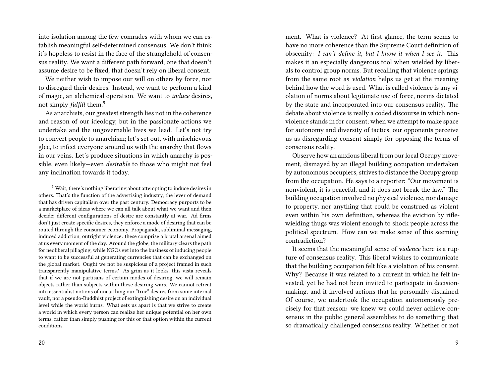into isolation among the few comrades with whom we can establish meaningful self-determined consensus. We don't think it's hopeless to resist in the face of the stranglehold of consensus reality. We want a different path forward, one that doesn't assume desire to be fixed, that doesn't rely on liberal consent.

We neither wish to impose our will on others by force, nor to disregard their desires. Instead, we want to perform a kind of magic, an alchemical operation. We want to *induce* desires, not simply *fulfill* them.<sup>5</sup>

As anarchists, our greatest strength lies not in the coherence and reason of our ideology, but in the passionate actions we undertake and the ungovernable lives we lead. Let's not try to convert people to anarchism; let's set out, with mischievous glee, to infect everyone around us with the anarchy that flows in our veins. Let's produce situations in which anarchy is possible, even likely—even *desirable* to those who might not feel any inclination towards it today.

20

ment. What is violence? At first glance, the term seems to have no more coherence than the Supreme Court definition of obscenity: *I can't define it, but I know it when I see it.* This makes it an especially dangerous tool when wielded by liberals to control group norms. But recalling that violence springs from the same root as *violation* helps us get at the meaning behind how the word is used. What is called violence is any violation of norms about legitimate use of force, norms dictated by the state and incorporated into our consensus reality. The debate about violence is really a coded discourse in which nonviolence stands in for consent; when we attempt to make space for autonomy and diversity of tactics, our opponents perceive us as disregarding consent simply for opposing the terms of consensus reality.

Observe how an anxious liberal from our local Occupy movement, dismayed by an illegal building occupation undertaken by autonomous occupiers, strives to distance the Occupy group from the occupation. He says to a reporter: "Our movement is nonviolent, it is peaceful, and it does not break the law." The building occupation involved no physical violence, nor damage to property, nor anything that could be construed as violent even within his own definition, whereas the eviction by riflewielding thugs was violent enough to shock people across the political spectrum. How can we make sense of this seeming contradiction?

It seems that the meaningful sense of *violence* here is a rupture of consensus reality. This liberal wishes to communicate that the building occupation felt like a violation of his consent. Why? Because it was related to a current in which he felt invested, yet he had not been invited to participate in decisionmaking, and it involved actions that he personally disdained. Of course, we undertook the occupation autonomously precisely for that reason: we knew we could never achieve consensus in the public general assemblies to do something that so dramatically challenged consensus reality. Whether or not

<sup>&</sup>lt;sup>5</sup> Wait, there's nothing liberating about attempting to induce desires in others. That's the function of the advertising industry, the lever of demand that has driven capitalism over the past century. Democracy purports to be a marketplace of ideas where we can all talk about what we want and then decide; different configurations of desire are constantly at war. Ad firms don't just create specific desires, they enforce a mode of desiring that can be routed through the consumer economy. Propaganda, subliminal messaging, induced addiction, outright violence: these comprise a brutal arsenal aimed at us every moment of the day. Around the globe, the military clears the path for neoliberal pillaging, while NGOs get into the business of inducing people to want to be successful at generating currencies that can be exchanged on the global market. Ought we not be suspicious of a project framed in such transparently manipulative terms? As grim as it looks, this vista reveals that if we are not partisans of certain modes of desiring, we will remain objects rather than subjects within these desiring wars. We cannot retreat into essentialist notions of unearthing our "true" desires from some internal vault, nor a pseudo-Buddhist project of extinguishing desire on an individual level while the world burns. What sets us apart is that we strive to create a world in which every person can realize her unique potential on her own terms, rather than simply pushing for this or that option within the current conditions.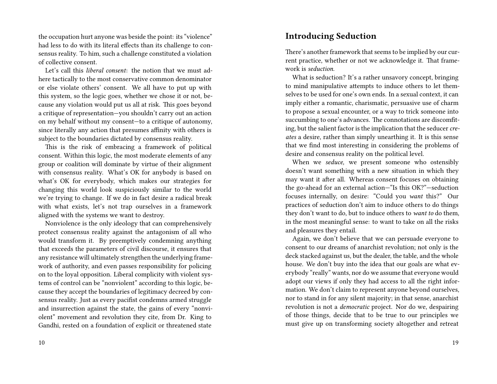the occupation hurt anyone was beside the point: its "violence" had less to do with its literal effects than its challenge to consensus reality. To him, such a challenge constituted a violation of collective consent.

Let's call this *liberal consent*: the notion that we must adhere tactically to the most conservative common denominator or else violate others' consent. We all have to put up with this system, so the logic goes, whether we chose it or not, because any violation would put us all at risk. This goes beyond a critique of representation—you shouldn't carry out an action on my behalf without my consent—to a critique of autonomy, since literally any action that presumes affinity with others is subject to the boundaries dictated by consensus reality.

This is the risk of embracing a framework of political consent. Within this logic, the most moderate elements of any group or coalition will dominate by virtue of their alignment with consensus reality. What's OK for anybody is based on what's OK for everybody, which makes our strategies for changing this world look suspiciously similar to the world we're trying to change. If we do in fact desire a radical break with what exists, let's not trap ourselves in a framework aligned with the systems we want to destroy.

Nonviolence is the only ideology that can comprehensively protect consensus reality against the antagonism of all who would transform it. By preemptively condemning anything that exceeds the parameters of civil discourse, it ensures that any resistance will ultimately strengthen the underlying framework of authority, and even passes responsibility for policing on to the loyal opposition. Liberal complicity with violent systems of control can be "nonviolent" according to this logic, because they accept the boundaries of legitimacy decreed by consensus reality. Just as every pacifist condemns armed struggle and insurrection against the state, the gains of every "nonviolent" movement and revolution they cite, from Dr. King to Gandhi, rested on a foundation of explicit or threatened state

#### 10

#### **Introducing Seduction**

There's another framework that seems to be implied by our current practice, whether or not we acknowledge it. That framework is *seduction.*

What is seduction? It's a rather unsavory concept, bringing to mind manipulative attempts to induce others to let themselves to be used for one's own ends. In a sexual context, it can imply either a romantic, charismatic, persuasive use of charm to propose a sexual encounter, or a way to trick someone into succumbing to one's advances. The connotations are discomfiting, but the salient factor is the implication that the seducer cre*ates* a desire, rather than simply unearthing it. It is this sense that we find most interesting in considering the problems of desire and consensus reality on the political level.

When we *seduce,* we present someone who ostensibly doesn't want something with a new situation in which they may want it after all. Whereas consent focuses on obtaining the go-ahead for an external action—"Is this OK?"—seduction focuses internally, on desire: "Could you *want* this?" Our practices of seduction don't aim to induce others to do things they don't want to do, but to induce others to *want to* do them, in the most meaningful sense: to want to take on all the risks and pleasures they entail.

Again, we don't believe that we can persuade everyone to consent to our dreams of anarchist revolution; not only is the deck stacked against us, but the dealer, the table, and the whole house. We don't buy into the idea that our goals are what everybody "really" wants, nor do we assume that everyone would adopt our views if only they had access to all the right information. We don't claim to represent anyone beyond ourselves, nor to stand in for any silent majority; in that sense, anarchist revolution is not a *democratic* project. Nor do we, despairing of those things, decide that to be true to our principles we must give up on transforming society altogether and retreat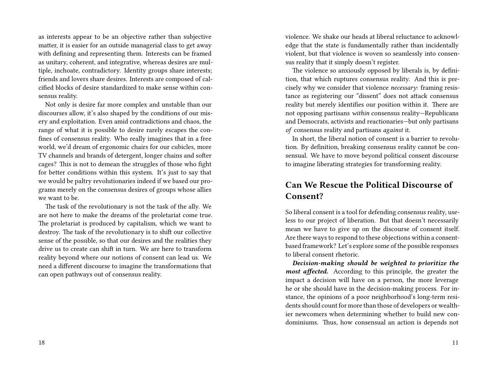as interests appear to be an objective rather than subjective matter, it is easier for an outside managerial class to get away with defining and representing them. Interests can be framed as unitary, coherent, and integrative, whereas desires are multiple, inchoate, contradictory. Identity groups share interests; friends and lovers share desires. Interests are composed of calcified blocks of desire standardized to make sense within consensus reality.

Not only is desire far more complex and unstable than our discourses allow, it's also shaped by the conditions of our misery and exploitation. Even amid contradictions and chaos, the range of what it is possible to desire rarely escapes the confines of consensus reality. Who really imagines that in a free world, we'd dream of ergonomic chairs for our cubicles, more TV channels and brands of detergent, longer chains and softer cages? This is not to demean the struggles of those who fight for better conditions within this system. It's just to say that we would be paltry revolutionaries indeed if we based our programs merely on the consensus desires of groups whose allies we want to be.

The task of the revolutionary is not the task of the ally. We are not here to make the dreams of the proletariat come true. The proletariat is produced by capitalism, which we want to destroy. The task of the revolutionary is to shift our collective sense of the possible, so that our desires and the realities they drive us to create can shift in turn. We are here to transform reality beyond where our notions of consent can lead us. We need a different discourse to imagine the transformations that can open pathways out of consensus reality.

violence. We shake our heads at liberal reluctance to acknowledge that the state is fundamentally rather than incidentally violent, but that violence is woven so seamlessly into consensus reality that it simply doesn't register.

The violence so anxiously opposed by liberals is, by definition, that which ruptures consensus reality. And this is precisely why we consider that violence *necessary*: framing resistance as registering our "dissent" does not attack consensus reality but merely identifies our position within it. There are not opposing partisans *within* consensus reality—Republicans and Democrats, activists and reactionaries—but only partisans *of* consensus reality and partisans *against* it.

In short, the liberal notion of consent is a barrier to revolution. By definition, breaking consensus reality cannot be consensual. We have to move beyond political consent discourse to imagine liberating strategies for transforming reality.

# **Can We Rescue the Political Discourse of Consent?**

So liberal consent is a tool for defending consensus reality, useless to our project of liberation. But that doesn't necessarily mean we have to give up on the discourse of consent itself. Are there ways to respond to these objections within a consentbased framework? Let's explore some of the possible responses to liberal consent rhetoric.

*Decision-making should be weighted to prioritize the most affected.* According to this principle, the greater the impact a decision will have on a person, the more leverage he or she should have in the decision-making process. For instance, the opinions of a poor neighborhood's long-term residents should count for more than those of developers or wealthier newcomers when determining whether to build new condominiums. Thus, how consensual an action is depends not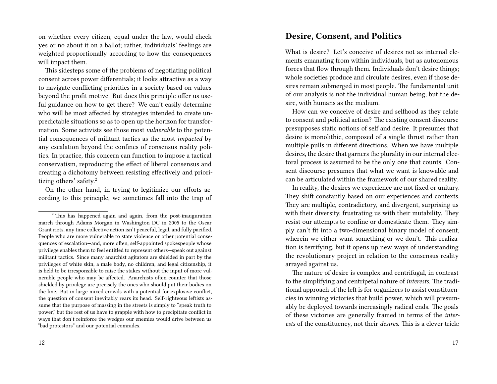on whether every citizen, equal under the law, would check yes or no about it on a ballot; rather, individuals' feelings are weighted proportionally according to how the consequences will impact them.

This sidesteps some of the problems of negotiating political consent across power differentials; it looks attractive as a way to navigate conflicting priorities in a society based on values beyond the profit motive. But does this principle offer us useful guidance on how to get there? We can't easily determine who will be most affected by strategies intended to create unpredictable situations so as to open up the horizon for transformation. Some activists see those most *vulnerable* to the potential consequences of militant tactics as the most *impacted* by any escalation beyond the confines of consensus reality politics. In practice, this concern can function to impose a tactical conservatism, reproducing the effect of liberal consensus and creating a dichotomy between resisting effectively and prioritizing others' safety.<sup>2</sup>

On the other hand, in trying to legitimize our efforts according to this principle, we sometimes fall into the trap of

# **Desire, Consent, and Politics**

What is desire? Let's conceive of desires not as internal elements emanating from within individuals, but as autonomous forces that flow through them. Individuals don't desire things; whole societies produce and circulate desires, even if those desires remain submerged in most people. The fundamental unit of our analysis is not the individual human being, but the desire, with humans as the medium.

How can we conceive of desire and selfhood as they relate to consent and political action? The existing consent discourse presupposes static notions of self and desire. It presumes that desire is monolithic, composed of a single thrust rather than multiple pulls in different directions. When we have multiple desires, the desire that garners the plurality in our internal electoral process is assumed to be the only one that counts. Consent discourse presumes that what we want is knowable and can be articulated within the framework of our shared reality.

In reality, the desires we experience are not fixed or unitary. They shift constantly based on our experiences and contexts. They are multiple, contradictory, and divergent, surprising us with their diversity, frustrating us with their mutability. They resist our attempts to confine or domesticate them. They simply can't fit into a two-dimensional binary model of consent, wherein we either want something or we don't. This realization is terrifying, but it opens up new ways of understanding the revolutionary project in relation to the consensus reality arrayed against us.

The nature of desire is complex and centrifugal, in contrast to the simplifying and centripetal nature of *interests.* The traditional approach of the left is for organizers to assist constituencies in winning victories that build power, which will presumably be deployed towards increasingly radical ends. The goals of these victories are generally framed in terms of the *interests* of the constituency, not their *desires.* This is a clever trick:

 $2$ <sup>2</sup> This has happened again and again, from the post-inauguration march through Adams Morgan in Washington DC in 2005 to the Oscar Grant riots, any time collective action isn't peaceful, legal, and fully pacified. People who are more vulnerable to state violence or other potential consequences of escalation—and, more often, self-appointed spokespeople whose privilege enables them to feel entitled to represent others—speak out against militant tactics. Since many anarchist agitators are shielded in part by the privileges of white skin, a male body, no children, and legal citizenship, it is held to be irresponsible to raise the stakes without the input of more vulnerable people who may be affected. Anarchists often counter that those shielded by privilege are precisely the ones who should put their bodies on the line. But in large mixed crowds with a potential for explosive conflict, the question of consent inevitably rears its head. Self-righteous leftists assume that the purpose of massing in the streets is simply to "speak truth to power," but the rest of us have to grapple with how to precipitate conflict in ways that don't reinforce the wedges our enemies would drive between us "bad protestors" and our potential comrades.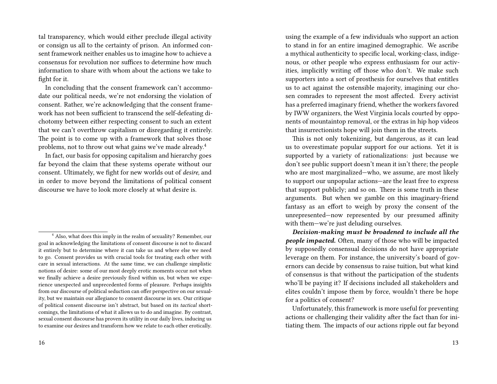tal transparency, which would either preclude illegal activity or consign us all to the certainty of prison. An informed consent framework neither enables us to imagine how to achieve a consensus for revolution nor suffices to determine how much information to share with whom about the actions we take to fight for it.

In concluding that the consent framework can't accommodate our political needs, we're not endorsing the violation of consent. Rather, we're acknowledging that the consent framework has not been sufficient to transcend the self-defeating dichotomy between either respecting consent to such an extent that we can't overthrow capitalism or disregarding it entirely. The point is to come up with a framework that solves those problems, not to throw out what gains we've made already.<sup>4</sup>

In fact, our basis for opposing capitalism and hierarchy goes far beyond the claim that these systems operate without our consent. Ultimately, we fight for new worlds out of *desire,* and in order to move beyond the limitations of political consent discourse we have to look more closely at what desire is.

using the example of a few individuals who support an action to stand in for an entire imagined demographic. We ascribe a mythical authenticity to specific local, working-class, indigenous, or other people who express enthusiasm for our activities, implicitly writing off those who don't. We make such supporters into a sort of prosthesis for ourselves that entitles us to act against the ostensible majority, imagining our chosen comrades to represent the most affected. Every activist has a preferred imaginary friend, whether the workers favored by IWW organizers, the West Virginia locals courted by opponents of mountaintop removal, or the extras in hip hop videos that insurrectionists hope will join them in the streets.

This is not only tokenizing, but dangerous, as it can lead us to overestimate popular support for our actions. Yet it is supported by a variety of rationalizations: just because we don't see public support doesn't mean it isn't there; the people who are most marginalized—who, we assume, are most likely to support our unpopular actions—are the least free to express that support publicly; and so on. There is some truth in these arguments. But when we gamble on this imaginary-friend fantasy as an effort to weigh by proxy the consent of the unrepresented—now represented by our presumed affinity with them—we're just deluding ourselves.

*Decision-making must be broadened to include all the people impacted.* Often, many of those who will be impacted by supposedly consensual decisions do not have appropriate leverage on them. For instance, the university's board of governors can decide by consensus to raise tuition, but what kind of consensus is that without the participation of the students who'll be paying it? If decisions included all stakeholders and elites couldn't impose them by force, wouldn't there be hope for a politics of consent?

Unfortunately, this framework is more useful for preventing actions or challenging their validity after the fact than for initiating them. The impacts of our actions ripple out far beyond

<sup>&</sup>lt;sup>4</sup> Also, what does this imply in the realm of sexuality? Remember, our goal in acknowledging the limitations of consent discourse is not to discard it entirely but to determine where it can take us and where else we need to go. Consent provides us with crucial tools for treating each other with care in sexual interactions. At the same time, we can challenge simplistic notions of desire: some of our most deeply erotic moments occur not when we finally achieve a desire previously fixed within us, but when we experience unexpected and unprecedented forms of pleasure. Perhaps insights from our discourse of political seduction can offer perspective on our sexuality, but we maintain our allegiance to consent discourse in sex. Our critique of political consent discourse isn't abstract, but based on its *tactical* shortcomings, the limitations of what it allows us to do and imagine. By contrast, sexual consent discourse has proven its utility in our daily lives, inducing us to examine our desires and transform how we relate to each other erotically.